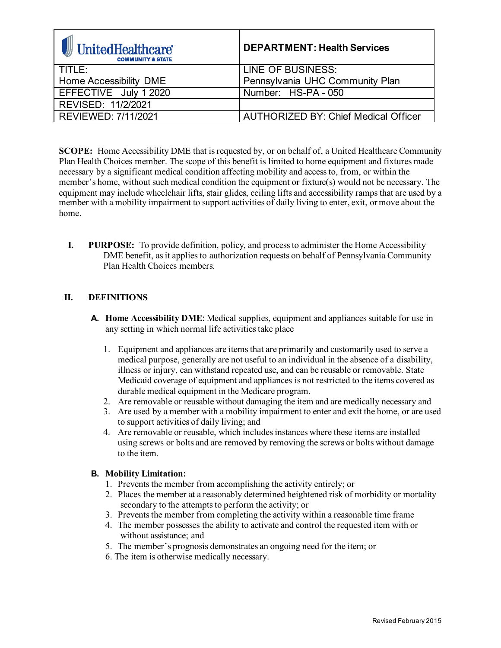| UnitedHealthcare®<br><b>COMMUNITY &amp; STATE</b> | <b>DEPARTMENT: Health Services</b>          |
|---------------------------------------------------|---------------------------------------------|
| TITLE:                                            | LINE OF BUSINESS:                           |
| Home Accessibility DME                            | Pennsylvania UHC Community Plan             |
| EFFECTIVE July 1 2020                             | Number: HS-PA - 050                         |
| REVISED: 11/2/2021                                |                                             |
| <b>REVIEWED: 7/11/2021</b>                        | <b>AUTHORIZED BY: Chief Medical Officer</b> |

**SCOPE:** Home Accessibility DME that is requested by, or on behalf of, a United Healthcare Community Plan Health Choices member. The scope of this benefit is limited to home equipment and fixtures made necessary by a significant medical condition affecting mobility and access to, from, or within the member's home, without such medical condition the equipment or fixture(s) would not be necessary. The equipment may include wheelchair lifts, stair glides, ceiling lifts and accessibility ramps that are used by a member with a mobility impairment to support activities of daily living to enter, exit, or move about the home.

**I. PURPOSE:** To provide definition, policy, and process to administer the Home Accessibility DME benefit, as it applies to authorization requests on behalf of Pennsylvania Community Plan Health Choices members.

# **II. DEFINITIONS**

- **A. Home Accessibility DME:** Medical supplies, equipment and appliances suitable for use in any setting in which normal life activities take place
	- 1. Equipment and appliances are items that are primarily and customarily used to serve a medical purpose, generally are not useful to an individual in the absence of a disability, illness or injury, can withstand repeated use, and can be reusable or removable. State Medicaid coverage of equipment and appliances is not restricted to the items covered as durable medical equipment in the Medicare program.
	- 2. Are removable or reusable without damaging the item and are medically necessary and
	- 3. Are used by a member with a mobility impairment to enter and exit the home, or are used to support activities of daily living; and
	- 4. Are removable or reusable, which includes instances where these items are installed using screws or bolts and are removed by removing the screws or bolts without damage to the item.

### **B. Mobility Limitation:**

- 1. Prevents the member from accomplishing the activity entirely; or
- 2. Places the member at a reasonably determined heightened risk of morbidity or mortality secondary to the attempts to perform the activity; or
- 3. Prevents the member from completing the activity within a reasonable time frame
- 4. The member possesses the ability to activate and control the requested item with or without assistance; and
- 5. The member's prognosis demonstrates an ongoing need for the item; or
- 6. The item is otherwise medically necessary.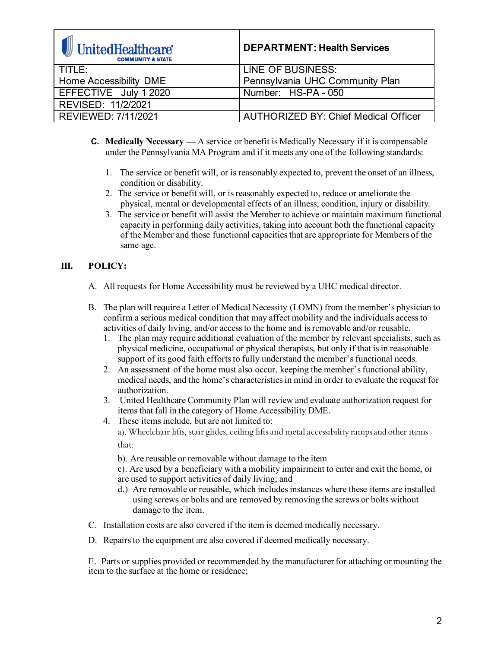| <b>J</b> UnitedHealthcare®<br><b>COMMUNITY &amp; STATE</b> | <b>DEPARTMENT: Health Services</b>          |
|------------------------------------------------------------|---------------------------------------------|
| TITLE:                                                     | <b>LINE OF BUSINESS:</b>                    |
| Home Accessibility DME                                     | Pennsylvania UHC Community Plan             |
| EFFECTIVE July 1 2020                                      | Number: HS-PA - 050                         |
| REVISED: 11/2/2021                                         |                                             |
| REVIEWED: 7/11/2021                                        | <b>AUTHORIZED BY: Chief Medical Officer</b> |

- **C. Medically Necessary —** A service or benefit is Medically Necessary if it is compensable under the Pennsylvania MA Program and if it meets any one of the following standards:
	- 1. The service or benefit will, or is reasonably expected to, prevent the onset of an illness, condition or disability.
	- 2. The service or benefit will, or is reasonably expected to, reduce or ameliorate the physical, mental or developmental effects of an illness, condition, injury or disability.
	- 3. The service or benefit will assist the Member to achieve or maintain maximum functional capacity in performing daily activities, taking into account both the functional capacity of the Member and those functional capacities that are appropriate for Members of the same age.

# **III. POLICY:**

- A. All requests for Home Accessibility must be reviewed by a UHC medical director.
- B. The plan will require a Letter of Medical Necessity (LOMN) from the member's physician to confirm a serious medical condition that may affect mobility and the individuals access to activities of daily living, and/or access to the home and is removable and/or reusable.
	- 1. The plan may require additional evaluation of the member by relevant specialists, such as physical medicine, occupational or physical therapists, but only if that is in reasonable support of its good faith efforts to fully understand the member's functional needs.
	- 2. An assessment of the home must also occur, keeping the member's functional ability, medical needs, and the home's characteristics in mind in order to evaluate the request for authorization.
	- 3. United Healthcare Community Plan will review and evaluate authorization request for items that fall in the category of Home Accessibility DME.
	- 4. These items include, but are not limited to: a). Wheelchair lifts, stair glides, ceiling lifts and metal accessibility ramps and other items that:

b). Are reusable or removable without damage to the item

c). Are used by a beneficiary with a mobility impairment to enter and exit the home, or are used to support activities of daily living; and

- d.) Are removable or reusable, which includes instances where these items are installed using screws or bolts and are removed by removing the screws or bolts without damage to the item.
- C. Installation costs are also covered if the item is deemed medically necessary.
- D. Repairs to the equipment are also covered if deemed medically necessary.

E. Parts or supplies provided or recommended by the manufacturer for attaching or mounting the item to the surface at the home or residence;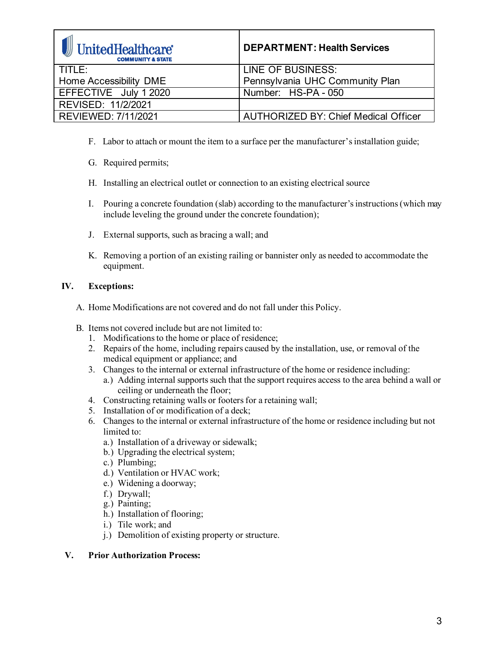| <b>J</b> UnitedHealthcare®<br><b>COMMUNITY &amp; STATE</b> | <b>DEPARTMENT: Health Services</b>          |
|------------------------------------------------------------|---------------------------------------------|
| TITLE:                                                     | <b>LINE OF BUSINESS:</b>                    |
| Home Accessibility DME                                     | Pennsylvania UHC Community Plan             |
| EFFECTIVE July 1 2020                                      | Number: HS-PA - 050                         |
| REVISED: 11/2/2021                                         |                                             |
| REVIEWED: 7/11/2021                                        | <b>AUTHORIZED BY: Chief Medical Officer</b> |

- F. Labor to attach or mount the item to a surface per the manufacturer's installation guide;
- G. Required permits;
- H. Installing an electrical outlet or connection to an existing electrical source
- I. Pouring a concrete foundation (slab) according to the manufacturer's instructions (which may include leveling the ground under the concrete foundation);
- J. External supports, such as bracing a wall; and
- K. Removing a portion of an existing railing or bannister only as needed to accommodate the equipment.

## **IV. Exceptions:**

- A. Home Modifications are not covered and do not fall under this Policy.
- B. Items not covered include but are not limited to:
	- 1. Modifications to the home or place of residence;
	- 2. Repairs of the home, including repairs caused by the installation, use, or removal of the medical equipment or appliance; and
	- 3. Changes to the internal or external infrastructure of the home or residence including:
		- a.) Adding internal supports such that the support requires access to the area behind a wall or ceiling or underneath the floor;
	- 4. Constructing retaining walls or footers for a retaining wall;
	- 5. Installation of or modification of a deck;
	- 6. Changes to the internal or external infrastructure of the home or residence including but not limited to:
		- a.) Installation of a driveway or sidewalk;
		- b.) Upgrading the electrical system;
		- c.) Plumbing;
		- d.) Ventilation or HVAC work;
		- e.) Widening a doorway;
		- f.) Drywall;
		- g.) Painting;
		- h.) Installation of flooring;
		- i.) Tile work; and
		- j.) Demolition of existing property or structure.

### **V. Prior Authorization Process:**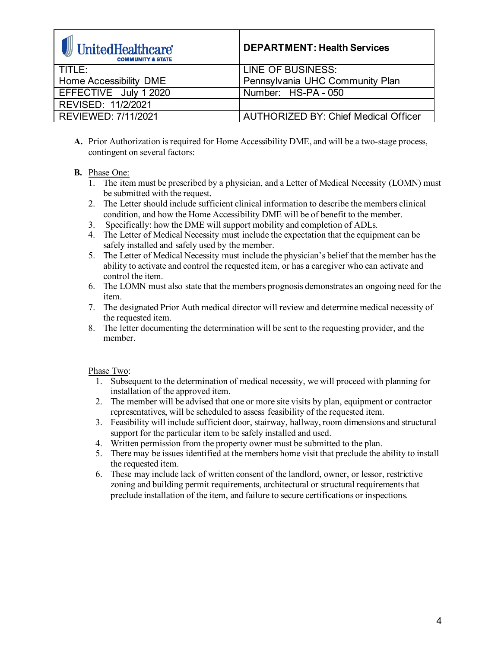| UnitedHealthcare*<br><b>COMMUNITY &amp; STATE</b> | <b>DEPARTMENT: Health Services</b>          |
|---------------------------------------------------|---------------------------------------------|
| TITLE:                                            | LINE OF BUSINESS:                           |
| Home Accessibility DME                            | Pennsylvania UHC Community Plan             |
| EFFECTIVE July 1 2020                             | Number: HS-PA - 050                         |
| REVISED: 11/2/2021                                |                                             |
| REVIEWED: 7/11/2021                               | <b>AUTHORIZED BY: Chief Medical Officer</b> |

- **A.** Prior Authorization isrequired for Home Accessibility DME, and will be a two-stage process, contingent on several factors:
- **B.** Phase One:
	- 1. The item must be prescribed by a physician, and a Letter of Medical Necessity (LOMN) must be submitted with the request.
	- 2. The Letter should include sufficient clinical information to describe the members clinical condition, and how the Home Accessibility DME will be of benefit to the member.
	- 3. Specifically: how the DME will support mobility and completion of ADLs.
	- 4. The Letter of Medical Necessity must include the expectation that the equipment can be safely installed and safely used by the member.
	- 5. The Letter of Medical Necessity must include the physician's belief that the member has the ability to activate and control the requested item, or has a caregiver who can activate and control the item.
	- 6. The LOMN must also state that the members prognosis demonstrates an ongoing need for the item.
	- 7. The designated Prior Auth medical director will review and determine medical necessity of the requested item.
	- 8. The letter documenting the determination will be sent to the requesting provider, and the member.

# Phase Two:

- 1. Subsequent to the determination of medical necessity, we will proceed with planning for installation of the approved item.
- 2. The member will be advised that one or more site visits by plan, equipment or contractor representatives, will be scheduled to assess feasibility of the requested item.
- 3. Feasibility will include sufficient door, stairway, hallway, room dimensions and structural support for the particular item to be safely installed and used.
- 4. Written permission from the property owner must be submitted to the plan.
- 5. There may be issues identified at the members home visit that preclude the ability to install the requested item.
- 6. These may include lack of written consent of the landlord, owner, or lessor, restrictive zoning and building permit requirements, architectural or structural requirements that preclude installation of the item, and failure to secure certifications or inspections.